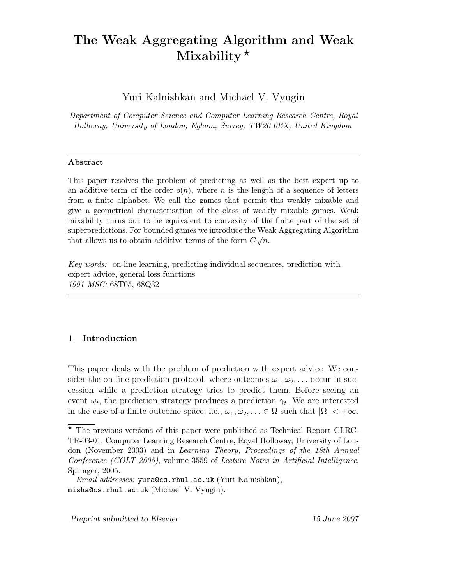# The Weak Aggregating Algorithm and Weak Mixability $\star$

Yuri Kalnishkan and Michael V. Vyugin

Department of Computer Science and Computer Learning Research Centre, Royal Holloway, University of London, Egham, Surrey, TW20 0EX, United Kingdom

## Abstract

This paper resolves the problem of predicting as well as the best expert up to an additive term of the order  $o(n)$ , where n is the length of a sequence of letters from a finite alphabet. We call the games that permit this weakly mixable and give a geometrical characterisation of the class of weakly mixable games. Weak mixability turns out to be equivalent to convexity of the finite part of the set of superpredictions. For bounded games we introduce the Weak Aggregating Algorithm that allows us to obtain additive terms of the form  $C\sqrt{n}$ .

Key words: on-line learning, predicting individual sequences, prediction with expert advice, general loss functions 1991 MSC: 68T05, 68Q32

# 1 Introduction

This paper deals with the problem of prediction with expert advice. We consider the on-line prediction protocol, where outcomes  $\omega_1, \omega_2, \ldots$  occur in succession while a prediction strategy tries to predict them. Before seeing an event  $\omega_t$ , the prediction strategy produces a prediction  $\gamma_t$ . We are interested in the case of a finite outcome space, i.e.,  $\omega_1, \omega_2, \ldots \in \Omega$  such that  $|\Omega| < +\infty$ .

Preprint submitted to Elsevier 15 June 2007

 $\star$  The previous versions of this paper were published as Technical Report CLRC-TR-03-01, Computer Learning Research Centre, Royal Holloway, University of London (November 2003) and in Learning Theory, Proceedings of the 18th Annual Conference (COLT 2005), volume 3559 of Lecture Notes in Artificial Intelligence, Springer, 2005.

*Email addresses:* yura@cs.rhul.ac.uk (Yuri Kalnishkan), misha@cs.rhul.ac.uk (Michael V. Vyugin).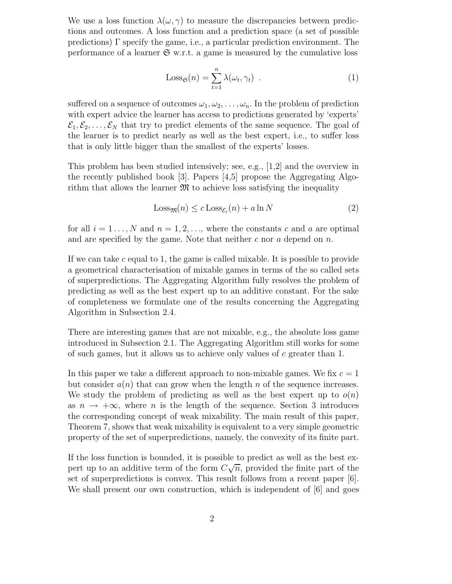We use a loss function  $\lambda(\omega, \gamma)$  to measure the discrepancies between predictions and outcomes. A loss function and a prediction space (a set of possible predictions)  $\Gamma$  specify the game, i.e., a particular prediction environment. The performance of a learner  $\mathfrak{S}$  w.r.t. a game is measured by the cumulative loss

$$
\text{Loss}_{\mathfrak{S}}(n) = \sum_{t=1}^{n} \lambda(\omega_t, \gamma_t) \tag{1}
$$

suffered on a sequence of outcomes  $\omega_1, \omega_2, \ldots, \omega_n$ . In the problem of prediction with expert advice the learner has access to predictions generated by 'experts'  $\mathcal{E}_1, \mathcal{E}_2, \ldots, \mathcal{E}_N$  that try to predict elements of the same sequence. The goal of the learner is to predict nearly as well as the best expert, i.e., to suffer loss that is only little bigger than the smallest of the experts' losses.

This problem has been studied intensively; see, e.g., [1,2] and the overview in the recently published book  $|3|$ . Papers  $|4,5|$  propose the Aggregating Algorithm that allows the learner  $\mathfrak{M}$  to achieve loss satisfying the inequality

$$
Loss_{\mathfrak{M}}(n) \le c \, Loss_{\mathcal{E}_i}(n) + a \ln N \tag{2}
$$

for all  $i = 1, \ldots, N$  and  $n = 1, 2, \ldots$ , where the constants c and a are optimal and are specified by the game. Note that neither  $c$  nor  $a$  depend on  $n$ .

If we can take c equal to 1, the game is called mixable. It is possible to provide a geometrical characterisation of mixable games in terms of the so called sets of superpredictions. The Aggregating Algorithm fully resolves the problem of predicting as well as the best expert up to an additive constant. For the sake of completeness we formulate one of the results concerning the Aggregating Algorithm in Subsection 2.4.

There are interesting games that are not mixable, e.g., the absolute loss game introduced in Subsection 2.1. The Aggregating Algorithm still works for some of such games, but it allows us to achieve only values of  $c$  greater than 1.

In this paper we take a different approach to non-mixable games. We fix  $c = 1$ but consider  $a(n)$  that can grow when the length n of the sequence increases. We study the problem of predicting as well as the best expert up to  $o(n)$ as  $n \to +\infty$ , where n is the length of the sequence. Section 3 introduces the corresponding concept of weak mixability. The main result of this paper, Theorem 7, shows that weak mixability is equivalent to a very simple geometric property of the set of superpredictions, namely, the convexity of its finite part.

If the loss function is bounded, it is possible to predict as well as the best expert up to an additive term of the form  $C\sqrt{n}$ , provided the finite part of the set of superpredictions is convex. This result follows from a recent paper [6]. We shall present our own construction, which is independent of  $[6]$  and goes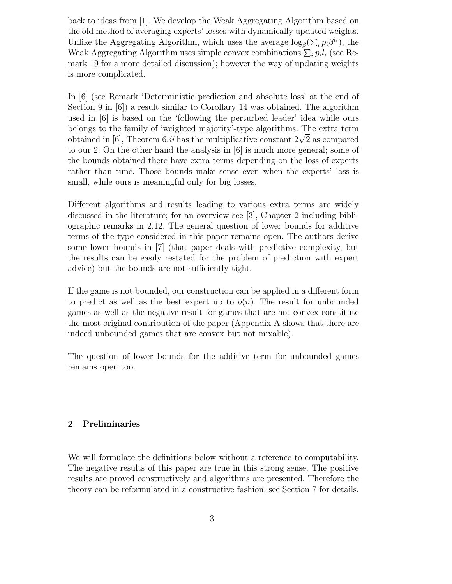back to ideas from [1]. We develop the Weak Aggregating Algorithm based on the old method of averaging experts' losses with dynamically updated weights. Unlike the Aggregating Algorithm, which uses the average  $\log_{\beta}(\sum_{i} p_i \beta^{l_i})$ , the Weak Aggregating Algorithm uses simple convex combinations  $\sum_i p_i l_i$  (see Remark 19 for a more detailed discussion); however the way of updating weights is more complicated.

In [6] (see Remark 'Deterministic prediction and absolute loss' at the end of Section 9 in [6]) a result similar to Corollary 14 was obtained. The algorithm used in [6] is based on the 'following the perturbed leader' idea while ours belongs to the family of 'weighted majority'-type algorithms. The extra term obtained in [6], Theorem 6.*ii* has the multiplicative constant  $2\sqrt{2}$  as compared to our 2. On the other hand the analysis in [6] is much more general; some of the bounds obtained there have extra terms depending on the loss of experts rather than time. Those bounds make sense even when the experts' loss is small, while ours is meaningful only for big losses.

Different algorithms and results leading to various extra terms are widely discussed in the literature; for an overview see [3], Chapter 2 including bibliographic remarks in 2.12. The general question of lower bounds for additive terms of the type considered in this paper remains open. The authors derive some lower bounds in [7] (that paper deals with predictive complexity, but the results can be easily restated for the problem of prediction with expert advice) but the bounds are not sufficiently tight.

If the game is not bounded, our construction can be applied in a different form to predict as well as the best expert up to  $o(n)$ . The result for unbounded games as well as the negative result for games that are not convex constitute the most original contribution of the paper (Appendix A shows that there are indeed unbounded games that are convex but not mixable).

The question of lower bounds for the additive term for unbounded games remains open too.

# 2 Preliminaries

We will formulate the definitions below without a reference to computability. The negative results of this paper are true in this strong sense. The positive results are proved constructively and algorithms are presented. Therefore the theory can be reformulated in a constructive fashion; see Section 7 for details.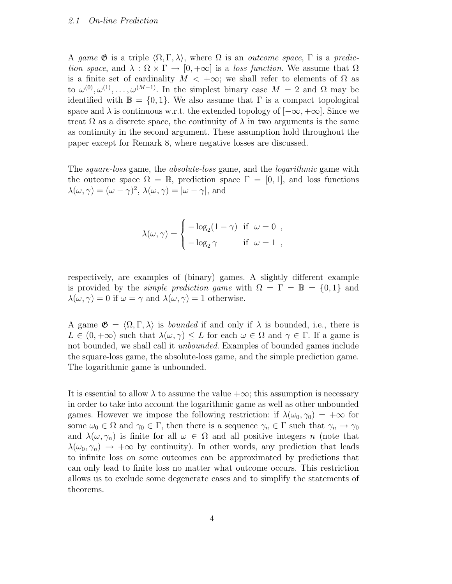#### 2.1 On-line Prediction

A game  $\mathfrak G$  is a triple  $\langle \Omega, \Gamma, \lambda \rangle$ , where  $\Omega$  is an outcome space,  $\Gamma$  is a prediction space, and  $\lambda : \Omega \times \Gamma \to [0, +\infty]$  is a loss function. We assume that  $\Omega$ is a finite set of cardinality  $M < +\infty$ ; we shall refer to elements of  $\Omega$  as to  $\omega^{(0)}, \omega^{(1)}, \ldots, \omega^{(M-1)}$ . In the simplest binary case  $M = 2$  and  $\Omega$  may be identified with  $\mathbb{B} = \{0, 1\}$ . We also assume that  $\Gamma$  is a compact topological space and  $\lambda$  is continuous w.r.t. the extended topology of  $[-\infty, +\infty]$ . Since we treat  $\Omega$  as a discrete space, the continuity of  $\lambda$  in two arguments is the same as continuity in the second argument. These assumption hold throughout the paper except for Remark 8, where negative losses are discussed.

The *square-loss* game, the *absolute-loss* game, and the *logarithmic* game with the outcome space  $\Omega = \mathbb{B}$ , prediction space  $\Gamma = [0, 1]$ , and loss functions  $\lambda(\omega, \gamma) = (\omega - \gamma)^2$ ,  $\lambda(\omega, \gamma) = |\omega - \gamma|$ , and

$$
\lambda(\omega, \gamma) = \begin{cases}\n-\log_2(1-\gamma) & \text{if } \omega = 0, \\
-\log_2 \gamma & \text{if } \omega = 1,\n\end{cases}
$$

respectively, are examples of (binary) games. A slightly different example is provided by the *simple prediction game* with  $\Omega = \Gamma = \mathbb{B} = \{0, 1\}$  and  $\lambda(\omega, \gamma) = 0$  if  $\omega = \gamma$  and  $\lambda(\omega, \gamma) = 1$  otherwise.

A game  $\mathfrak{G} = \langle \Omega, \Gamma, \lambda \rangle$  is *bounded* if and only if  $\lambda$  is bounded, i.e., there is  $L \in (0, +\infty)$  such that  $\lambda(\omega, \gamma) \leq L$  for each  $\omega \in \Omega$  and  $\gamma \in \Gamma$ . If a game is not bounded, we shall call it *unbounded*. Examples of bounded games include the square-loss game, the absolute-loss game, and the simple prediction game. The logarithmic game is unbounded.

It is essential to allow  $\lambda$  to assume the value  $+\infty$ ; this assumption is necessary in order to take into account the logarithmic game as well as other unbounded games. However we impose the following restriction: if  $\lambda(\omega_0, \gamma_0) = +\infty$  for some  $\omega_0 \in \Omega$  and  $\gamma_0 \in \Gamma$ , then there is a sequence  $\gamma_n \in \Gamma$  such that  $\gamma_n \to \gamma_0$ and  $\lambda(\omega, \gamma_n)$  is finite for all  $\omega \in \Omega$  and all positive integers n (note that  $\lambda(\omega_0, \gamma_n) \rightarrow +\infty$  by continuity). In other words, any prediction that leads to infinite loss on some outcomes can be approximated by predictions that can only lead to finite loss no matter what outcome occurs. This restriction allows us to exclude some degenerate cases and to simplify the statements of theorems.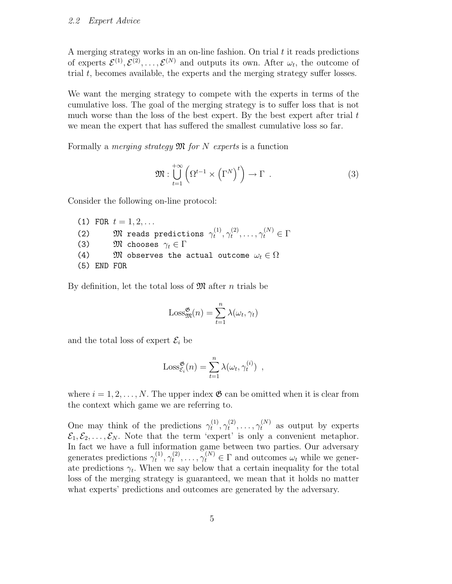A merging strategy works in an on-line fashion. On trial  $t$  it reads predictions of experts  $\mathcal{E}^{(1)}, \mathcal{E}^{(2)}, \ldots, \mathcal{E}^{(N)}$  and outputs its own. After  $\omega_t$ , the outcome of trial  $t$ , becomes available, the experts and the merging strategy suffer losses.

We want the merging strategy to compete with the experts in terms of the cumulative loss. The goal of the merging strategy is to suffer loss that is not much worse than the loss of the best expert. By the best expert after trial  $t$ we mean the expert that has suffered the smallest cumulative loss so far.

Formally a *merging strategy*  $\mathfrak{M}$  for N experts is a function

$$
\mathfrak{M}: \bigcup_{t=1}^{+\infty} \left(\Omega^{t-1} \times \left(\Gamma^N\right)^t\right) \to \Gamma \tag{3}
$$

Consider the following on-line protocol:

```
(1) FOR t = 1, 2, \ldots(2) \mathfrak{M} reads predictions \gamma_t^{(1)}\overset{(1)}{t},\gamma_t^{(2)}\gamma_t^{(2)}, \ldots, \gamma_t^{(N)} \in \Gamma(3) \mathfrak{M} chooses \gamma_t \in \Gamma<br>(4) \mathfrak{M} observes the a
                 {\mathfrak M} observes the actual outcome \omega_t \in \Omega(5) END FOR
```
By definition, let the total loss of  $\mathfrak{M}$  after n trials be

$$
Loss_{\mathfrak{M}}^{\mathfrak{G}}(n) = \sum_{t=1}^{n} \lambda(\omega_t, \gamma_t)
$$

and the total loss of expert  $\mathcal{E}_i$  be

$$
Loss_{\mathcal{E}_i}^{\mathfrak{G}}(n) = \sum_{t=1}^n \lambda(\omega_t, \gamma_t^{(i)}) ,
$$

where  $i = 1, 2, \ldots, N$ . The upper index  $\mathfrak{G}$  can be omitted when it is clear from the context which game we are referring to.

One may think of the predictions  $\gamma_t^{(1)}$  $\overset{(1)}{t},\gamma_t^{(2)}$  $t^{(2)}, \ldots, \gamma_t^{(N)}$  as output by experts  $\mathcal{E}_1, \mathcal{E}_2, \ldots, \mathcal{E}_N$ . Note that the term 'expert' is only a convenient metaphor. In fact we have a full information game between two parties. Our adversary generates predictions  $\gamma_t^{(1)}$  $\hat{\gamma}_t^{(1)}, \gamma_t^{(2)}$  $t^{(2)}, \ldots, \gamma_t^{(N)} \in \Gamma$  and outcomes  $\omega_t$  while we generate predictions  $\gamma_t$ . When we say below that a certain inequality for the total loss of the merging strategy is guaranteed, we mean that it holds no matter what experts' predictions and outcomes are generated by the adversary.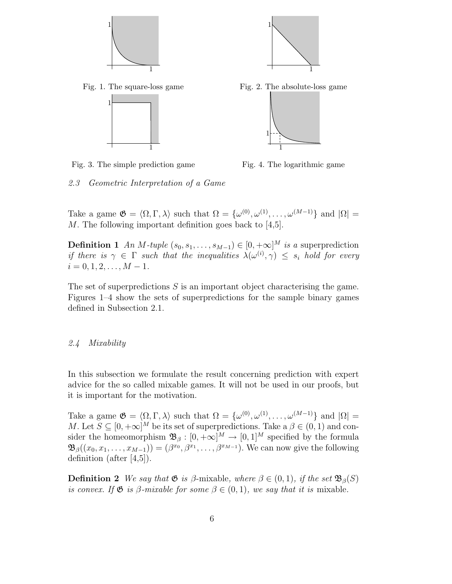



Fig. 1. The square-loss game



Fig. 2. The absolute-loss game



Fig. 3. The simple prediction game

Fig. 4. The logarithmic game

2.3 Geometric Interpretation of a Game

Take a game  $\mathfrak{G} = \langle \Omega, \Gamma, \lambda \rangle$  such that  $\Omega = {\omega^{(0)}, \omega^{(1)}, \dots, \omega^{(M-1)}}$  and  $|\Omega| =$ M. The following important definition goes back to [4,5].

**Definition 1** An M-tuple  $(s_0, s_1, \ldots, s_{M-1}) \in [0, +\infty]^M$  is a superprediction if there is  $\gamma \in \Gamma$  such that the inequalities  $\lambda(\omega^{(i)}, \gamma) \leq s_i$  hold for every  $i = 0, 1, 2, \ldots, M - 1.$ 

The set of superpredictions  $S$  is an important object characterising the game. Figures 1–4 show the sets of superpredictions for the sample binary games defined in Subsection 2.1.

#### 2.4 Mixability

In this subsection we formulate the result concerning prediction with expert advice for the so called mixable games. It will not be used in our proofs, but it is important for the motivation.

Take a game  $\mathfrak{G} = \langle \Omega, \Gamma, \lambda \rangle$  such that  $\Omega = {\omega^{(0)}, \omega^{(1)}, \dots, \omega^{(M-1)}}$  and  $|\Omega| =$ M. Let  $S \subseteq [0, +\infty]^M$  be its set of superpredictions. Take  $a \beta \in (0, 1)$  and consider the homeomorphism  $\mathfrak{B}_{\beta} : [0, +\infty]^M \to [0, 1]^M$  specified by the formula  $\mathfrak{B}_{\beta}((x_0, x_1, \ldots, x_{M-1})) = (\beta^{x_0}, \beta^{x_1}, \ldots, \beta^{x_{M-1}}).$  We can now give the following definition (after [4,5]).

**Definition 2** We say that  $\mathfrak{G}$  is  $\beta$ -mixable, where  $\beta \in (0,1)$ , if the set  $\mathfrak{B}_{\beta}(S)$ is convex. If  $\mathfrak{G}$  is  $\beta$ -mixable for some  $\beta \in (0,1)$ , we say that it is mixable.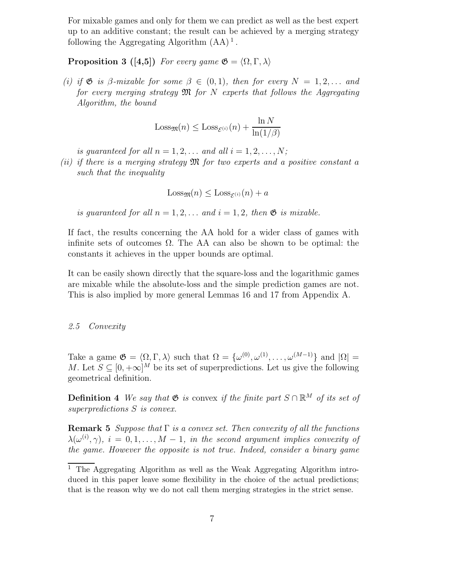For mixable games and only for them we can predict as well as the best expert up to an additive constant; the result can be achieved by a merging strategy following the Aggregating Algorithm  $(AA)^1$ .

**Proposition 3** ([4,5]) For every game  $\mathfrak{G} = \langle \Omega, \Gamma, \lambda \rangle$ 

(i) if  $\mathfrak G$  is β-mixable for some  $\beta \in (0,1)$ , then for every  $N = 1, 2, \ldots$  and for every merging strategy  $\mathfrak{M}$  for N experts that follows the Aggregating Algorithm, the bound

$$
\text{Loss}_{\mathfrak{M}}(n) \leq \text{Loss}_{\mathcal{E}^{(i)}}(n) + \frac{\ln N}{\ln(1/\beta)}
$$

is guaranteed for all  $n = 1, 2, \ldots$  and all  $i = 1, 2, \ldots, N$ ;

(ii) if there is a merging strategy  $\mathfrak M$  for two experts and a positive constant a such that the inequality

$$
\text{Loss}_{\mathfrak{M}}(n) \leq \text{Loss}_{\mathcal{E}^{(i)}}(n) + a
$$

is guaranteed for all  $n = 1, 2, \ldots$  and  $i = 1, 2$ , then  $\mathfrak{G}$  is mixable.

If fact, the results concerning the AA hold for a wider class of games with infinite sets of outcomes  $\Omega$ . The AA can also be shown to be optimal: the constants it achieves in the upper bounds are optimal.

It can be easily shown directly that the square-loss and the logarithmic games are mixable while the absolute-loss and the simple prediction games are not. This is also implied by more general Lemmas 16 and 17 from Appendix A.

## 2.5 Convexity

Take a game  $\mathfrak{G} = \langle \Omega, \Gamma, \lambda \rangle$  such that  $\Omega = {\omega^{(0)}, \omega^{(1)}, \dots, \omega^{(M-1)}}$  and  $|\Omega| =$ M. Let  $S \subseteq [0, +\infty]^M$  be its set of superpredictions. Let us give the following geometrical definition.

**Definition 4** We say that  $\mathfrak{G}$  is convex if the finite part  $S \cap \mathbb{R}^M$  of its set of superpredictions S is convex.

**Remark 5** Suppose that  $\Gamma$  is a convex set. Then convexity of all the functions  $\lambda(\omega^{(i)}, \gamma)$ ,  $i = 0, 1, ..., M - 1$ , in the second argument implies convexity of the game. However the opposite is not true. Indeed, consider a binary game

 $\overline{1}$  The Aggregating Algorithm as well as the Weak Aggregating Algorithm introduced in this paper leave some flexibility in the choice of the actual predictions; that is the reason why we do not call them merging strategies in the strict sense.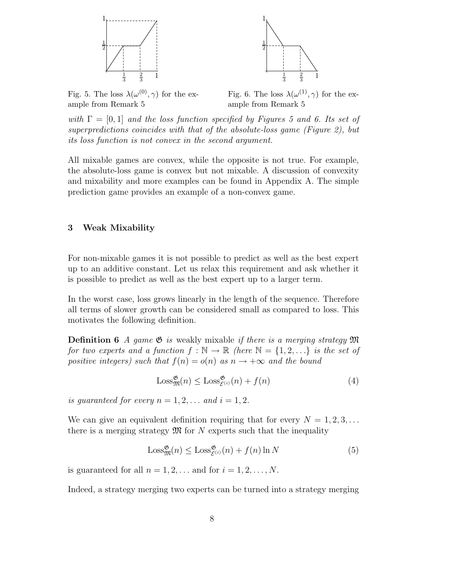

Fig. 5. The loss  $\lambda(\omega^{(0)}, \gamma)$  for the example from Remark 5

Fig. 6. The loss  $\lambda(\omega^{(1)}, \gamma)$  for the example from Remark 5

2 3

1 3 1

1

1 2

with  $\Gamma = [0, 1]$  and the loss function specified by Figures 5 and 6. Its set of superpredictions coincides with that of the absolute-loss game (Figure 2), but its loss function is not convex in the second argument.

All mixable games are convex, while the opposite is not true. For example, the absolute-loss game is convex but not mixable. A discussion of convexity and mixability and more examples can be found in Appendix A. The simple prediction game provides an example of a non-convex game.

## 3 Weak Mixability

For non-mixable games it is not possible to predict as well as the best expert up to an additive constant. Let us relax this requirement and ask whether it is possible to predict as well as the best expert up to a larger term.

In the worst case, loss grows linearly in the length of the sequence. Therefore all terms of slower growth can be considered small as compared to loss. This motivates the following definition.

**Definition 6** A game  $\mathfrak{G}$  is weakly mixable if there is a merging strategy  $\mathfrak{M}$ for two experts and a function  $f : \mathbb{N} \to \mathbb{R}$  (here  $\mathbb{N} = \{1, 2, ...\}$  is the set of positive integers) such that  $f(n) = o(n)$  as  $n \to +\infty$  and the bound

$$
\text{Loss}_{\mathfrak{M}}^{\mathfrak{G}}(n) \le \text{Loss}_{\mathcal{E}^{(i)}}^{\mathfrak{G}}(n) + f(n)
$$
 (4)

is guaranteed for every  $n = 1, 2, \ldots$  and  $i = 1, 2$ .

We can give an equivalent definition requiring that for every  $N = 1, 2, 3, \ldots$ there is a merging strategy  $\mathfrak{M}$  for N experts such that the inequality

$$
\text{Loss}_{\mathfrak{M}}^{\mathfrak{G}}(n) \le \text{Loss}_{\mathcal{E}^{(i)}}^{\mathfrak{G}}(n) + f(n) \ln N \tag{5}
$$

is guaranteed for all  $n = 1, 2, \ldots$  and for  $i = 1, 2, \ldots, N$ .

Indeed, a strategy merging two experts can be turned into a strategy merging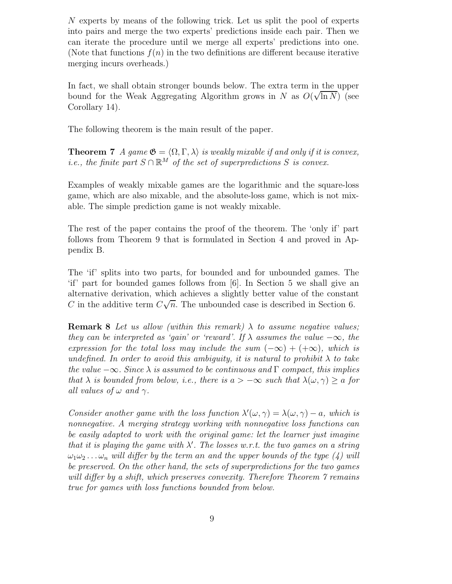N experts by means of the following trick. Let us split the pool of experts into pairs and merge the two experts' predictions inside each pair. Then we can iterate the procedure until we merge all experts' predictions into one. (Note that functions  $f(n)$  in the two definitions are different because iterative merging incurs overheads.)

In fact, we shall obtain stronger bounds below. The extra term in the upper bound for the Weak Aggregating Algorithm grows in N as  $O(\sqrt{\ln N})$  (see Corollary 14).

The following theorem is the main result of the paper.

**Theorem 7** A game  $\mathfrak{G} = \langle \Omega, \Gamma, \lambda \rangle$  is weakly mixable if and only if it is convex, *i.e.*, the finite part  $S \cap \mathbb{R}^M$  of the set of superpredictions S is convex.

Examples of weakly mixable games are the logarithmic and the square-loss game, which are also mixable, and the absolute-loss game, which is not mixable. The simple prediction game is not weakly mixable.

The rest of the paper contains the proof of the theorem. The 'only if' part follows from Theorem 9 that is formulated in Section 4 and proved in Appendix B.

The 'if' splits into two parts, for bounded and for unbounded games. The 'if' part for bounded games follows from [6]. In Section 5 we shall give an alternative derivation, which achieves a slightly better value of the constant C in the additive term  $C\sqrt{n}$ . The unbounded case is described in Section 6.

**Remark 8** Let us allow (within this remark)  $\lambda$  to assume negative values; they can be interpreted as 'gain' or 'reward'. If  $\lambda$  assumes the value  $-\infty$ , the expression for the total loss may include the sum  $(-\infty) + (+\infty)$ , which is undefined. In order to avoid this ambiguity, it is natural to prohibit  $\lambda$  to take the value  $-\infty$ . Since  $\lambda$  is assumed to be continuous and  $\Gamma$  compact, this implies that  $\lambda$  is bounded from below, i.e., there is  $a > -\infty$  such that  $\lambda(\omega, \gamma) > a$  for all values of  $\omega$  and  $\gamma$ .

Consider another game with the loss function  $\lambda'(\omega, \gamma) = \lambda(\omega, \gamma) - a$ , which is nonnegative. A merging strategy working with nonnegative loss functions can be easily adapted to work with the original game: let the learner just imagine that it is playing the game with  $\lambda'$ . The losses w.r.t. the two games on a string  $\omega_1\omega_2 \ldots \omega_n$  will differ by the term an and the upper bounds of the type (4) will be preserved. On the other hand, the sets of superpredictions for the two games will differ by a shift, which preserves convexity. Therefore Theorem 7 remains true for games with loss functions bounded from below.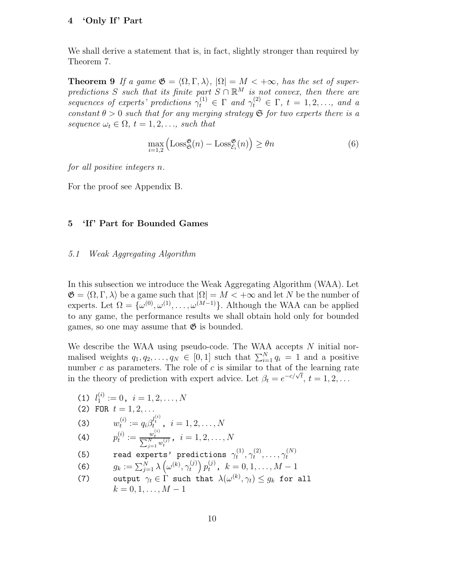# 4 'Only If' Part

We shall derive a statement that is, in fact, slightly stronger than required by Theorem 7.

**Theorem 9** If a game  $\mathfrak{G} = \langle \Omega, \Gamma, \lambda \rangle$ ,  $|\Omega| = M < +\infty$ , has the set of superpredictions S such that its finite part  $S \cap \mathbb{R}^M$  is not convex, then there are sequences of experts' predictions  $\gamma_t^{(1)} \in \Gamma$  and  $\gamma_t^{(2)} \in \Gamma$ ,  $t = 1, 2, ...,$  and a constant  $\theta > 0$  such that for any merging strategy  $\mathfrak S$  for two experts there is a sequence  $\omega_t \in \Omega$ ,  $t = 1, 2, \ldots$ , such that

$$
\max_{i=1,2} \left( \text{Loss}_{\mathfrak{S}}^{\mathfrak{G}}(n) - \text{Loss}_{\mathcal{E}_i}^{\mathfrak{G}}(n) \right) \ge \theta n \tag{6}
$$

for all positive integers n.

For the proof see Appendix B.

# 5 'If' Part for Bounded Games

# 5.1 Weak Aggregating Algorithm

In this subsection we introduce the Weak Aggregating Algorithm (WAA). Let  $\mathfrak{G} = \langle \Omega, \Gamma, \lambda \rangle$  be a game such that  $|\Omega| = M < +\infty$  and let N be the number of experts. Let  $\Omega = {\omega^{(0)}, \omega^{(1)}, \ldots, \omega^{(M-1)}}$ . Although the WAA can be applied to any game, the performance results we shall obtain hold only for bounded games, so one may assume that  $\mathfrak{G}$  is bounded.

We describe the WAA using pseudo-code. The WAA accepts  $N$  initial normalised weights  $q_1, q_2, \ldots, q_N \in [0, 1]$  such that  $\sum_{i=1}^N q_i = 1$  and a positive number  $c$  as parameters. The role of  $c$  is similar to that of the learning rate in the theory of prediction with expert advice. Let  $\beta_t = e^{-c/\sqrt{t}}, t = 1, 2, ...$ 

(1) 
$$
l_1^{(i)} := 0, \quad i = 1, 2, ..., N
$$
  
\n(2) FOR  $t = 1, 2, ...$   
\n(3)  $w_t^{(i)} := q_i \beta_t^{l_i^{(i)}}, \quad i = 1, 2, ..., N$   
\n(4)  $p_t^{(i)} := \frac{w_t^{(i)}}{\sum_{j=1}^N w_t^{(j)}}, \quad i = 1, 2, ..., N$   
\n(5) read experts' predictions  $\gamma_t^{(1)}, \gamma_t^{(2)}, ..., \gamma_t^{(N)}$   
\n(6)  $g_k := \sum_{j=1}^N \lambda \left( \omega^{(k)}, \gamma_t^{(j)} \right) p_t^{(j)}, \quad k = 0, 1, ..., M - 1$ 

(7) output  $\gamma_t \in \Gamma$  such that  $\lambda(\omega^{(k)}, \gamma_t) \leq g_k$  for all  $k = 0, 1, \ldots, M - 1$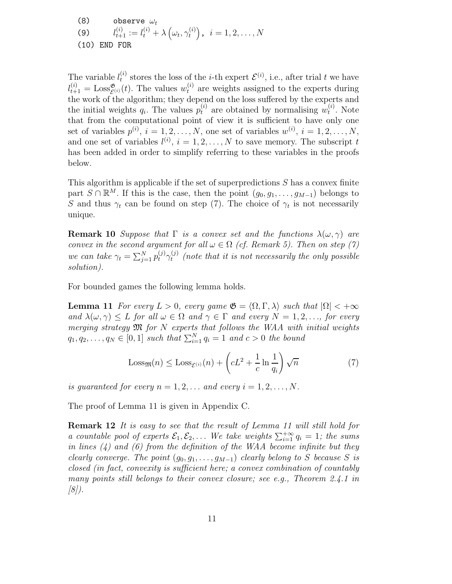(8) observe  $\omega_t$  $(9)$  $\mathcal{U}_{t+1}^{(i)}:=l_t^{(i)}+\lambda\left(\omega_t,\gamma_t^{(i)}\right)$  $\left( \begin{smallmatrix} (i)\ t\end{smallmatrix} \right)$  ,  $\; i=1,2,\ldots,N$ (10) END FOR

The variable  $l_t^{(i)}$  $t_i^{(i)}$  stores the loss of the *i*-th expert  $\mathcal{E}^{(i)}$ , i.e., after trial t we have  $l_{t+1}^{(i)} = \text{Loss}_{\mathcal{E}^{(i)}}^{\mathfrak{G}}(t)$ . The values  $w_t^{(i)}$  are weights assigned to the experts during the work of the algorithm; they depend on the loss suffered by the experts and the initial weights  $q_i$ . The values  $p_t^{(i)}$  are obtained by normalising  $w_t^{(i)}$  $t^{(i)}$ . Note that from the computational point of view it is sufficient to have only one set of variables  $p^{(i)}$ ,  $i = 1, 2, ..., N$ , one set of variables  $w^{(i)}$ ,  $i = 1, 2, ..., N$ , and one set of variables  $l^{(i)}$ ,  $i = 1, 2, ..., N$  to save memory. The subscript t has been added in order to simplify referring to these variables in the proofs below.

This algorithm is applicable if the set of superpredictions S has a convex finite part  $S \cap \mathbb{R}^M$ . If this is the case, then the point  $(g_0, g_1, \ldots, g_{M-1})$  belongs to S and thus  $\gamma_t$  can be found on step (7). The choice of  $\gamma_t$  is not necessarily unique.

**Remark 10** Suppose that  $\Gamma$  is a convex set and the functions  $\lambda(\omega, \gamma)$  are convex in the second argument for all  $\omega \in \Omega$  (cf. Remark 5). Then on step (7) we can take  $\gamma_t = \sum_{j=1}^N p_t^{(j)} \gamma_t^{(j)}$  $t_t^{(j)}$  (note that it is not necessarily the only possible solution).

For bounded games the following lemma holds.

**Lemma 11** For every  $L > 0$ , every game  $\mathfrak{G} = \langle \Omega, \Gamma, \lambda \rangle$  such that  $|\Omega| < +\infty$ and  $\lambda(\omega, \gamma) \leq L$  for all  $\omega \in \Omega$  and  $\gamma \in \Gamma$  and every  $N = 1, 2, \ldots$ , for every merging strategy  $\mathfrak M$  for N experts that follows the WAA with initial weights  $q_1, q_2, \ldots, q_N \in [0,1]$  such that  $\sum_{i=1}^N q_i = 1$  and  $c > 0$  the bound

$$
\text{Loss}_{\mathfrak{M}}(n) \le \text{Loss}_{\mathcal{E}^{(i)}}(n) + \left(cL^2 + \frac{1}{c}\ln\frac{1}{q_i}\right)\sqrt{n} \tag{7}
$$

is guaranteed for every  $n = 1, 2, \ldots$  and every  $i = 1, 2, \ldots, N$ .

The proof of Lemma 11 is given in Appendix C.

**Remark 12** It is easy to see that the result of Lemma 11 will still hold for a countable pool of experts  $\mathcal{E}_1, \mathcal{E}_2, \ldots$  We take weights  $\sum_{i=1}^{+\infty} q_i = 1$ ; the sums in lines  $(4)$  and  $(6)$  from the definition of the WAA become infinite but they clearly converge. The point  $(g_0, g_1, \ldots, g_{M-1})$  clearly belong to S because S is closed (in fact, convexity is sufficient here; a convex combination of countably many points still belongs to their convex closure; see e.g., Theorem 2.4.1 in  $(8)$ .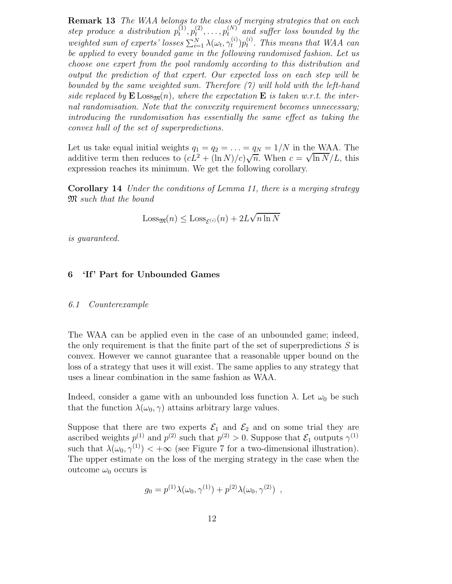Remark 13 The WAA belongs to the class of merging strategies that on each step produce a distribution  $p_t^{(1)}$  $\stackrel{(1)}{t},p_t^{(2)}$  $t^{(2)}, \ldots, p_t^{(N)}$  and suffer loss bounded by the weighted sum of experts' losses  $\sum_{i=1}^{N} \lambda(\omega_t, \gamma_t^{(i)})$  $\binom{i}{t}p_t^{(i)}$  $t<sup>i<sub>t</sub></sup>$ . This means that WAA can be applied to every bounded game in the following randomised fashion. Let us choose one expert from the pool randomly according to this distribution and output the prediction of that expert. Our expected loss on each step will be bounded by the same weighted sum. Therefore (7) will hold with the left-hand side replaced by  $\mathbf{E}$  Loss<sub>m</sub>(n), where the expectation  $\mathbf{E}$  is taken w.r.t. the internal randomisation. Note that the convexity requirement becomes unnecessary; introducing the randomisation has essentially the same effect as taking the convex hull of the set of superpredictions.

Let us take equal initial weights  $q_1 = q_2 = \ldots = q_N = 1/N$  in the WAA. The additive term then reduces to  $(cL^2 + (\ln N)/c)\sqrt{n}$ . When  $c = \sqrt{\ln N}/L$ , this expression reaches its minimum. We get the following corollary.

Corollary 14 Under the conditions of Lemma 11, there is a merging strategy M such that the bound

$$
Loss_{\mathfrak{M}}(n) \le Loss_{\mathcal{E}^{(i)}}(n) + 2L\sqrt{n \ln N}
$$

is guaranteed.

# 6 'If ' Part for Unbounded Games

#### 6.1 Counterexample

The WAA can be applied even in the case of an unbounded game; indeed, the only requirement is that the finite part of the set of superpredictions  $S$  is convex. However we cannot guarantee that a reasonable upper bound on the loss of a strategy that uses it will exist. The same applies to any strategy that uses a linear combination in the same fashion as WAA.

Indeed, consider a game with an unbounded loss function  $\lambda$ . Let  $\omega_0$  be such that the function  $\lambda(\omega_0, \gamma)$  attains arbitrary large values.

Suppose that there are two experts  $\mathcal{E}_1$  and  $\mathcal{E}_2$  and on some trial they are ascribed weights  $p^{(1)}$  and  $p^{(2)}$  such that  $p^{(2)} > 0$ . Suppose that  $\mathcal{E}_1$  outputs  $\gamma^{(1)}$ such that  $\lambda(\omega_0, \gamma^{(1)}) < +\infty$  (see Figure 7 for a two-dimensional illustration). The upper estimate on the loss of the merging strategy in the case when the outcome  $\omega_0$  occurs is

$$
g_0 = p^{(1)} \lambda(\omega_0, \gamma^{(1)}) + p^{(2)} \lambda(\omega_0, \gamma^{(2)}) ,
$$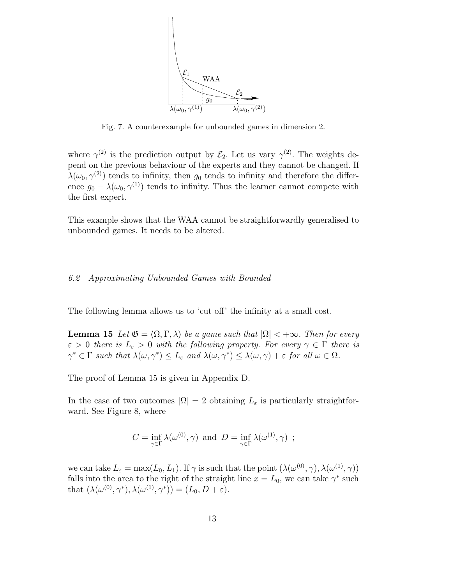

Fig. 7. A counterexample for unbounded games in dimension 2.

where  $\gamma^{(2)}$  is the prediction output by  $\mathcal{E}_2$ . Let us vary  $\gamma^{(2)}$ . The weights depend on the previous behaviour of the experts and they cannot be changed. If  $\lambda(\omega_0, \gamma^{(2)})$  tends to infinity, then  $g_0$  tends to infinity and therefore the difference  $g_0 - \lambda(\omega_0, \gamma^{(1)})$  tends to infinity. Thus the learner cannot compete with the first expert.

This example shows that the WAA cannot be straightforwardly generalised to unbounded games. It needs to be altered.

#### 6.2 Approximating Unbounded Games with Bounded

The following lemma allows us to 'cut off' the infinity at a small cost.

**Lemma 15** Let  $\mathfrak{G} = \langle \Omega, \Gamma, \lambda \rangle$  be a game such that  $|\Omega| < +\infty$ . Then for every  $\varepsilon > 0$  there is  $L_{\varepsilon} > 0$  with the following property. For every  $\gamma \in \Gamma$  there is  $\gamma^* \in \Gamma$  such that  $\lambda(\omega, \gamma^*) \leq L_{\varepsilon}$  and  $\lambda(\omega, \gamma^*) \leq \lambda(\omega, \gamma) + \varepsilon$  for all  $\omega \in \Omega$ .

The proof of Lemma 15 is given in Appendix D.

In the case of two outcomes  $|\Omega| = 2$  obtaining  $L_{\varepsilon}$  is particularly straightforward. See Figure 8, where

$$
C = \inf_{\gamma \in \Gamma} \lambda(\omega^{(0)}, \gamma) \text{ and } D = \inf_{\gamma \in \Gamma} \lambda(\omega^{(1)}, \gamma) ;
$$

we can take  $L_{\varepsilon} = \max(L_0, L_1)$ . If  $\gamma$  is such that the point  $(\lambda(\omega^{(0)}, \gamma), \lambda(\omega^{(1)}, \gamma))$ falls into the area to the right of the straight line  $x = L_0$ , we can take  $\gamma^*$  such that  $(\lambda(\omega^{(0)}, \gamma^*), \lambda(\omega^{(1)}, \gamma^*)) = (L_0, D + \varepsilon).$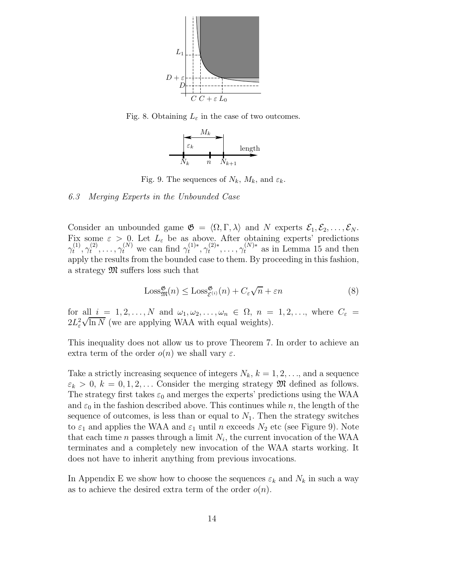

Fig. 8. Obtaining  $L_{\varepsilon}$  in the case of two outcomes.



Fig. 9. The sequences of  $N_k$ ,  $M_k$ , and  $\varepsilon_k$ .

#### 6.3 Merging Experts in the Unbounded Case

Consider an unbounded game  $\mathfrak{G} = \langle \Omega, \Gamma, \lambda \rangle$  and N experts  $\mathcal{E}_1, \mathcal{E}_2, \ldots, \mathcal{E}_N$ . Fix some  $\varepsilon > 0$ . Let  $L_{\varepsilon}$  be as above. After obtaining experts' predictions  $\gamma_t^{(1)}$  $\overset{(1)}{t},\gamma_t^{(2)}$  $\gamma_t^{(2)}, \ldots, \gamma_t^{(N)}$  we can find  $\gamma_t^{(1)*}, \gamma_t^{(2)*}, \ldots, \gamma_t^{(N)*}$  as in Lemma 15 and then apply the results from the bounded case to them. By proceeding in this fashion, a strategy M suffers loss such that

$$
\text{Loss}_{\mathfrak{M}}^{\mathfrak{G}}(n) \le \text{Loss}_{\mathcal{E}^{(i)}}^{\mathfrak{G}}(n) + C_{\varepsilon}\sqrt{n} + \varepsilon n \tag{8}
$$

for all  $i = 1, 2, ..., N$  and  $\omega_1, \omega_2, ..., \omega_n \in \Omega$ ,  $n = 1, 2, ...,$  where  $C_{\varepsilon}$  $2L_{\varepsilon}^2$  $\sqrt{\ln N}$  (we are applying WAA with equal weights).

This inequality does not allow us to prove Theorem 7. In order to achieve an extra term of the order  $o(n)$  we shall vary  $\varepsilon$ .

Take a strictly increasing sequence of integers  $N_k$ ,  $k = 1, 2, \ldots$ , and a sequence  $\varepsilon_k > 0, k = 0, 1, 2, \ldots$  Consider the merging strategy  $\mathfrak{M}$  defined as follows. The strategy first takes  $\varepsilon_0$  and merges the experts' predictions using the WAA and  $\varepsilon_0$  in the fashion described above. This continues while n, the length of the sequence of outcomes, is less than or equal to  $N_1$ . Then the strategy switches to  $\varepsilon_1$  and applies the WAA and  $\varepsilon_1$  until n exceeds  $N_2$  etc (see Figure 9). Note that each time *n* passes through a limit  $N_i$ , the current invocation of the WAA terminates and a completely new invocation of the WAA starts working. It does not have to inherit anything from previous invocations.

In Appendix E we show how to choose the sequences  $\varepsilon_k$  and  $N_k$  in such a way as to achieve the desired extra term of the order  $o(n)$ .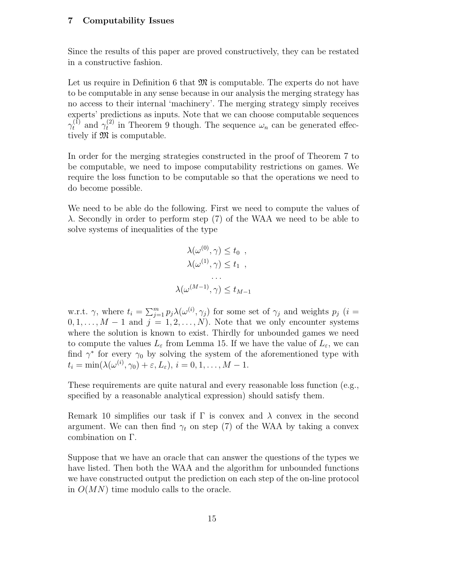# 7 Computability Issues

Since the results of this paper are proved constructively, they can be restated in a constructive fashion.

Let us require in Definition 6 that  $\mathfrak{M}$  is computable. The experts do not have to be computable in any sense because in our analysis the merging strategy has no access to their internal 'machinery'. The merging strategy simply receives experts' predictions as inputs. Note that we can choose computable sequences  $\gamma_t^{(1)}$  and  $\gamma_t^{(2)}$  $t^{(2)}$  in Theorem 9 though. The sequence  $\omega_n$  can be generated effectively if  $\mathfrak{M}$  is computable.

In order for the merging strategies constructed in the proof of Theorem 7 to be computable, we need to impose computability restrictions on games. We require the loss function to be computable so that the operations we need to do become possible.

We need to be able do the following. First we need to compute the values of λ. Secondly in order to perform step (7) of the WAA we need to be able to solve systems of inequalities of the type

$$
\lambda(\omega^{(0)}, \gamma) \leq t_0 ,
$$
  
\n
$$
\lambda(\omega^{(1)}, \gamma) \leq t_1 ,
$$
  
\n...  
\n
$$
\lambda(\omega^{(M-1)}, \gamma) \leq t_{M-1}
$$

w.r.t.  $\gamma$ , where  $t_i = \sum_{j=1}^m p_j \lambda(\omega^{(i)}, \gamma_j)$  for some set of  $\gamma_j$  and weights  $p_j$  (i =  $0, 1, \ldots, M-1$  and  $j = 1, 2, \ldots, N$ . Note that we only encounter systems where the solution is known to exist. Thirdly for unbounded games we need to compute the values  $L_{\varepsilon}$  from Lemma 15. If we have the value of  $L_{\varepsilon}$ , we can find  $\gamma^*$  for every  $\gamma_0$  by solving the system of the aforementioned type with  $t_i = \min(\lambda(\omega^{(i)}, \gamma_0) + \varepsilon, L_{\varepsilon}), i = 0, 1, \ldots, M - 1.$ 

These requirements are quite natural and every reasonable loss function (e.g., specified by a reasonable analytical expression) should satisfy them.

Remark 10 simplifies our task if  $\Gamma$  is convex and  $\lambda$  convex in the second argument. We can then find  $\gamma_t$  on step (7) of the WAA by taking a convex combination on Γ.

Suppose that we have an oracle that can answer the questions of the types we have listed. Then both the WAA and the algorithm for unbounded functions we have constructed output the prediction on each step of the on-line protocol in  $O(MN)$  time modulo calls to the oracle.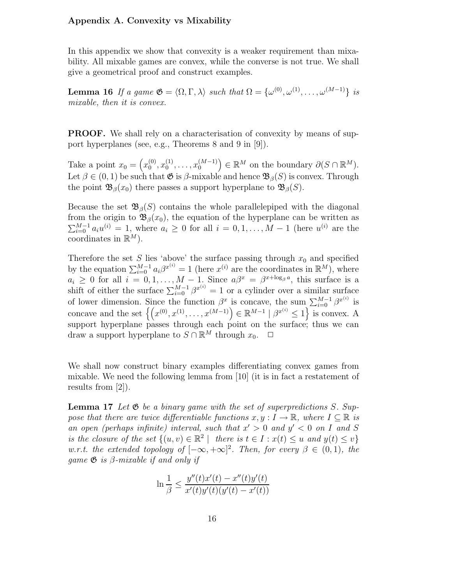## Appendix A. Convexity vs Mixability

In this appendix we show that convexity is a weaker requirement than mixability. All mixable games are convex, while the converse is not true. We shall give a geometrical proof and construct examples.

**Lemma 16** If a game  $\mathfrak{G} = \langle \Omega, \Gamma, \lambda \rangle$  such that  $\Omega = \{\omega^{(0)}, \omega^{(1)}, \ldots, \omega^{(M-1)}\}$  is mixable, then it is convex.

PROOF. We shall rely on a characterisation of convexity by means of support hyperplanes (see, e.g., Theorems 8 and 9 in [9]).

Take a point  $x_0 = \left(x_0^{(0)}\right)$  $\binom{0}{0}, x_0^{(1)}$  $\left( \begin{smallmatrix} (1) \ 0 \end{smallmatrix} \right), \ldots, x_0^{(M-1)} \Big) \in \mathbb{R}^M$  on the boundary  $\partial (S \cap \mathbb{R}^M)$ . Let  $\beta \in (0, 1)$  be such that  $\mathfrak{G}$  is  $\beta$ -mixable and hence  $\mathfrak{B}_{\beta}(S)$  is convex. Through the point  $\mathfrak{B}_{\beta}(x_0)$  there passes a support hyperplane to  $\mathfrak{B}_{\beta}(S)$ .

Because the set  $\mathfrak{B}_{\beta}(S)$  contains the whole parallelepiped with the diagonal from the origin to  $\mathfrak{B}_{\beta}(x_0)$ , the equation of the hyperplane can be written as  $\sum_{i=0}^{M-1} a_i u^{(i)} = 1$ , where  $a_i \geq 0$  for all  $i = 0, 1, ..., M-1$  (here  $u^{(i)}$  are the coordinates in  $\mathbb{R}^M$ ).

Therefore the set S lies 'above' the surface passing through  $x_0$  and specified by the equation  $\sum_{i=0}^{M-1} a_i \beta^{x^{(i)}} = 1$  (here  $x^{(i)}$  are the coordinates in  $\mathbb{R}^M$ ), where  $a_i \geq 0$  for all  $i = 0, 1, ..., M - 1$ . Since  $a\beta^x = \beta^{x + \log_\beta a}$ , this surface is a shift of either the surface  $\sum_{i=0}^{M-1} \beta^{x^{(i)}} = 1$  or a cylinder over a similar surface of lower dimension. Since the function  $\beta^x$  is concave, the sum  $\sum_{i=0}^{M-1} \beta^{x^{(i)}}$  is concave and the set  $\{(x^{(0)}, x^{(1)}, \ldots, x^{(M-1)}) \in \mathbb{R}^{M-1} \mid \beta^{x^{(i)}} \leq 1\}$  is convex. A support hyperplane passes through each point on the surface; thus we can draw a support hyperplane to  $S \cap \mathbb{R}^M$  through  $x_0$ .  $\Box$ 

We shall now construct binary examples differentiating convex games from mixable. We need the following lemma from [10] (it is in fact a restatement of results from [2]).

**Lemma 17** Let  $\mathfrak{G}$  be a binary game with the set of superpredictions S. Suppose that there are twice differentiable functions  $x, y : I \to \mathbb{R}$ , where  $I \subseteq \mathbb{R}$  is an open (perhaps infinite) interval, such that  $x' > 0$  and  $y' < 0$  on I and S is the closure of the set  $\{(u, v) \in \mathbb{R}^2 \mid \text{ there is } t \in I : x(t) \leq u \text{ and } y(t) \leq v\}$ w.r.t. the extended topology of  $[-\infty, +\infty]^2$ . Then, for every  $\beta \in (0,1)$ , the game  $\mathfrak G$  is  $\beta$ -mixable if and only if

$$
\ln \frac{1}{\beta} \le \frac{y''(t)x'(t) - x''(t)y'(t)}{x'(t)y'(t)(y'(t) - x'(t))}
$$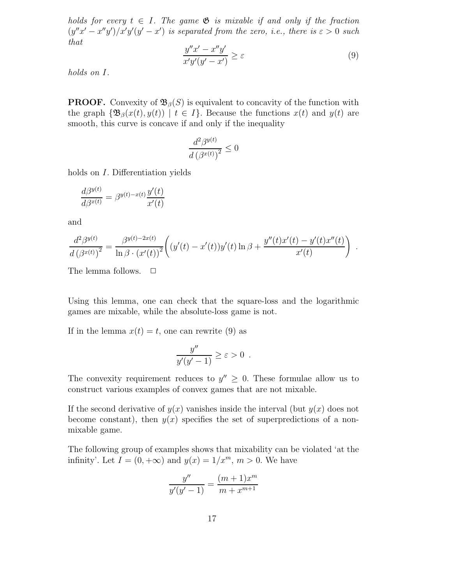holds for every  $t \in I$ . The game  $\mathfrak{G}$  is mixable if and only if the fraction  $(y''x'-x''y')/x'y'(y'-x')$  is separated from the zero, i.e., there is  $\varepsilon > 0$  such that

$$
\frac{y''x'-x''y'}{x'y'(y'-x')} \ge \varepsilon \tag{9}
$$

.

holds on I.

**PROOF.** Convexity of  $\mathfrak{B}_{\beta}(S)$  is equivalent to concavity of the function with the graph  $\{\mathfrak{B}_{\beta}(x(t), y(t)) \mid t \in I\}$ . Because the functions  $x(t)$  and  $y(t)$  are smooth, this curve is concave if and only if the inequality

$$
\frac{d^2\beta^{y(t)}}{d\left(\beta^{x(t)}\right)^2} \le 0
$$

holds on I. Differentiation yields

$$
\frac{d\beta^{y(t)}}{d\beta^{x(t)}} = \beta^{y(t)-x(t)} \frac{y'(t)}{x'(t)}
$$

and

$$
\frac{d^2\beta^{y(t)}}{d(\beta^{x(t)})^2} = \frac{\beta^{y(t)-2x(t)}}{\ln \beta \cdot (x'(t))^2} \left( (y'(t) - x'(t))y'(t) \ln \beta + \frac{y''(t)x'(t) - y'(t)x''(t)}{x'(t)} \right)
$$

The lemma follows.  $\Box$ 

Using this lemma, one can check that the square-loss and the logarithmic games are mixable, while the absolute-loss game is not.

If in the lemma  $x(t) = t$ , one can rewrite (9) as

$$
\frac{y''}{y'(y'-1)} \ge \varepsilon > 0.
$$

The convexity requirement reduces to  $y'' \geq 0$ . These formulae allow us to construct various examples of convex games that are not mixable.

If the second derivative of  $y(x)$  vanishes inside the interval (but  $y(x)$  does not become constant), then  $y(x)$  specifies the set of superpredictions of a nonmixable game.

The following group of examples shows that mixability can be violated 'at the infinity'. Let  $I = (0, +\infty)$  and  $y(x) = 1/x^m$ ,  $m > 0$ . We have

$$
\frac{y''}{y'(y'-1)} = \frac{(m+1)x^m}{m+x^{m+1}}
$$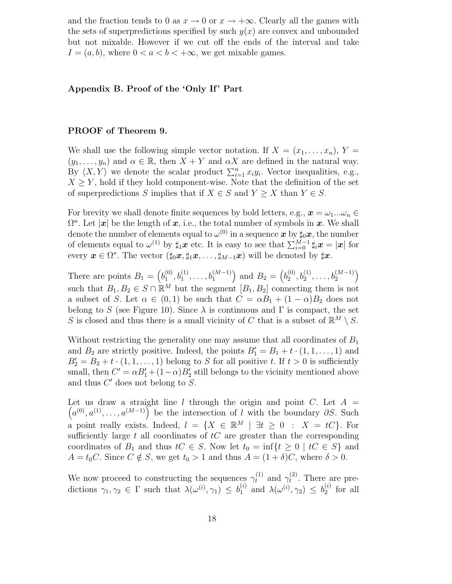and the fraction tends to 0 as  $x \to 0$  or  $x \to +\infty$ . Clearly all the games with the sets of superpredictions specified by such  $y(x)$  are convex and unbounded but not mixable. However if we cut off the ends of the interval and take  $I = (a, b)$ , where  $0 < a < b < +\infty$ , we get mixable games.

# Appendix B. Proof of the 'Only If' Part

# PROOF of Theorem 9.

We shall use the following simple vector notation. If  $X = (x_1, \ldots, x_n), Y =$  $(y_1, \ldots, y_n)$  and  $\alpha \in \mathbb{R}$ , then  $X + Y$  and  $\alpha X$  are defined in the natural way. By  $\langle X, Y \rangle$  we denote the scalar product  $\sum_{i=1}^{n} x_i y_i$ . Vector inequalities, e.g.,  $X \geq Y$ , hold if they hold component-wise. Note that the definition of the set of superpredictions S implies that if  $X \in S$  and  $Y \geq X$  than  $Y \in S$ .

For brevity we shall denote finite sequences by bold letters, e.g.,  $x = \omega_1...\omega_n \in$  $\Omega^n$ . Let  $|\mathbf{x}|$  be the length of  $\mathbf{x}$ , i.e., the total number of symbols in  $\mathbf{x}$ . We shall denote the number of elements equal to  $\omega^{(0)}$  in a sequence  $\bm{x}$  by  $\sharp_{0}\bm{x},$  the number of elements equal to  $\omega^{(1)}$  by  $\sharp_1 \mathbf{x}$  etc. It is easy to see that  $\sum_{i=0}^{M-1} \sharp_i \mathbf{x} = |\mathbf{x}|$  for every  $\boldsymbol{x} \in \Omega^*$ . The vector  $(\sharp_0 \boldsymbol{x}, \sharp_1 \boldsymbol{x}, \ldots, \sharp_{M-1} \boldsymbol{x})$  will be denoted by  $\sharp \boldsymbol{x}$ .

There are points  $B_1 = \left(b_1^{(0)}\right)$  $b_1^{(0)}, b_1^{(1)}, \ldots, b_1^{(M-1)}$  and  $B_2 = (b_2^{(0)})$  $b_2^{(0)}, b_2^{(1)}, \ldots, b_2^{(M-1)}$ such that  $B_1, B_2 \in S \cap \mathbb{R}^M$  but the segment  $[B_1, B_2]$  connecting them is not a subset of S. Let  $\alpha \in (0,1)$  be such that  $C = \alpha B_1 + (1-\alpha)B_2$  does not belong to S (see Figure 10). Since  $\lambda$  is continuous and  $\Gamma$  is compact, the set S is closed and thus there is a small vicinity of C that is a subset of  $\mathbb{R}^M \setminus S$ .

Without restricting the generality one may assume that all coordinates of  $B_1$ and  $B_2$  are strictly positive. Indeed, the points  $B'_1 = B_1 + t \cdot (1, 1, \ldots, 1)$  and  $B'_2 = B_2 + t \cdot (1, 1, \ldots, 1)$  belong to S for all positive t. If  $t > 0$  is sufficiently small, then  $C' = \alpha B_1' + (1 - \alpha) B_2'$  still belongs to the vicinity mentioned above and thus  $C'$  does not belong to  $S$ .

Let us draw a straight line l through the origin and point C. Let  $A =$  $(a^{(0)}, a^{(1)}, \ldots, a^{(M-1)})$  be the intersection of l with the boundary  $\partial S$ . Such a point really exists. Indeed,  $l = \{X \in \mathbb{R}^M \mid \exists t \geq 0 : X = tC\}$ . For sufficiently large  $t$  all coordinates of  $tC$  are greater than the corresponding coordinates of  $B_1$  and thus  $tC \in S$ . Now let  $t_0 = \inf\{t \geq 0 \mid tC \in S\}$  and  $A = t_0C$ . Since  $C \notin S$ , we get  $t_0 > 1$  and thus  $A = (1 + \delta)C$ , where  $\delta > 0$ .

We now proceed to constructing the sequences  $\gamma_t^{(1)}$  and  $\gamma_t^{(2)}$  $t^{(2)}$ . There are predictions  $\gamma_1, \gamma_2 \in \Gamma$  such that  $\lambda(\omega^{(i)}, \gamma_1) \leq b_1^{(i)}$  and  $\lambda(\omega^{(i)}, \gamma_2) \leq b_2^{(i)}$  $2^{(i)}$  for all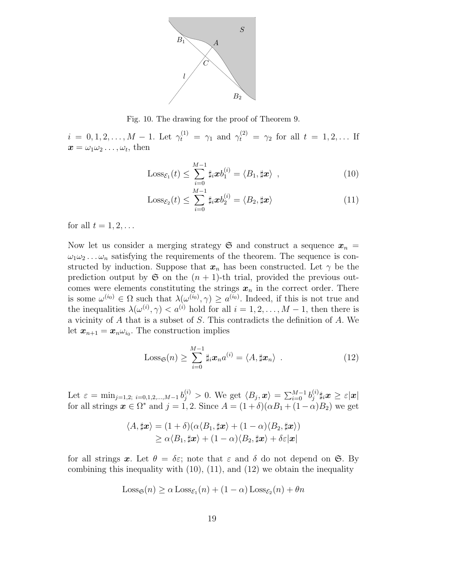

Fig. 10. The drawing for the proof of Theorem 9.

 $i = 0, 1, 2, \ldots, M - 1$ . Let  $\gamma_t^{(1)} = \gamma_1$  and  $\gamma_t^{(2)} = \gamma_2$  for all  $t = 1, 2, \ldots$  If  $\boldsymbol{x} = \omega_1 \omega_2 \dots, \omega_t$ , then

$$
\text{Loss}_{\mathcal{E}_1}(t) \leq \sum_{i=0}^{M-1} \sharp_i \boldsymbol{x} b_1^{(i)} = \langle B_1, \sharp \boldsymbol{x} \rangle \tag{10}
$$

$$
\text{Loss}_{\mathcal{E}_2}(t) \leq \sum_{i=0}^{M-1} \sharp_i \boldsymbol{x} b_2^{(i)} = \langle B_2, \sharp \boldsymbol{x} \rangle \tag{11}
$$

for all  $t = 1, 2, \ldots$ 

Now let us consider a merging strategy  $\mathfrak{S}$  and construct a sequence  $x_n =$  $\omega_1\omega_2 \dots \omega_n$  satisfying the requirements of the theorem. The sequence is constructed by induction. Suppose that  $x_n$  has been constructed. Let  $\gamma$  be the prediction output by  $\mathfrak S$  on the  $(n + 1)$ -th trial, provided the previous outcomes were elements constituting the strings  $x_n$  in the correct order. There is some  $\omega^{(i_0)} \in \Omega$  such that  $\lambda(\omega^{(i_0)}, \gamma) \geq a^{(i_0)}$ . Indeed, if this is not true and the inequalities  $\lambda(\omega^{(i)}, \gamma) < a^{(i)}$  hold for all  $i = 1, 2, ..., M - 1$ , then there is a vicinity of A that is a subset of S. This contradicts the definition of A. We let  $\boldsymbol{x}_{n+1} = \boldsymbol{x}_{n} \omega_{i_0}$ . The construction implies

$$
\text{Loss}_{\mathfrak{S}}(n) \geq \sum_{i=0}^{M-1} \sharp_i \boldsymbol{x}_n a^{(i)} = \langle A, \sharp \boldsymbol{x}_n \rangle . \tag{12}
$$

Let  $\varepsilon = \min_{j=1,2; i=0,1,2,...,M-1} b_j^{(i)} > 0$ . We get  $\langle B_j, x \rangle = \sum_{i=0}^{M-1} b_j^{(i)}$  $j^{(i)}_{j} \sharp_{i} \boldsymbol{x} \geq \varepsilon |\boldsymbol{x}|$ for all strings  $x \in \Omega^*$  and  $j = 1, 2$ . Since  $A = (1 + \delta)(\alpha B_1 + (1 - \alpha)B_2)$  we get

$$
\langle A, \sharp x \rangle = (1+\delta)(\alpha \langle B_1, \sharp x \rangle + (1-\alpha) \langle B_2, \sharp x \rangle)
$$
  
 
$$
\geq \alpha \langle B_1, \sharp x \rangle + (1-\alpha) \langle B_2, \sharp x \rangle + \delta \varepsilon |x|
$$

for all strings x. Let  $\theta = \delta \varepsilon$ ; note that  $\varepsilon$  and  $\delta$  do not depend on G. By combining this inequality with  $(10)$ ,  $(11)$ , and  $(12)$  we obtain the inequality

$$
Loss_{\mathfrak{S}}(n) \ge \alpha Loss_{\mathcal{E}_1}(n) + (1 - \alpha) Loss_{\mathcal{E}_2}(n) + \theta n
$$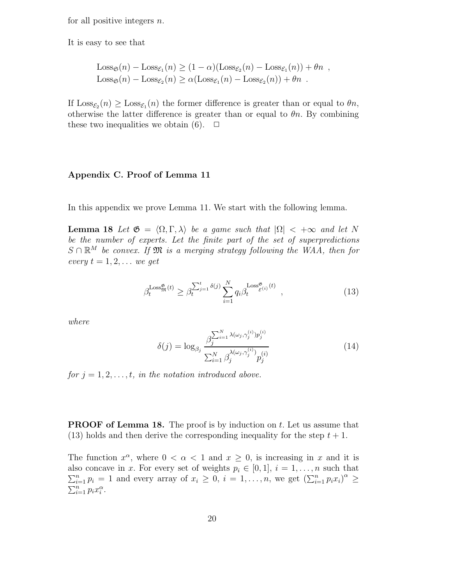for all positive integers  $n$ .

It is easy to see that

$$
Loss_{\mathfrak{S}}(n) - Loss_{\mathcal{E}_1}(n) \ge (1 - \alpha)(Loss_{\mathcal{E}_2}(n) - Loss_{\mathcal{E}_1}(n)) + \theta n ,
$$
  
\n
$$
Loss_{\mathfrak{S}}(n) - Loss_{\mathcal{E}_2}(n) \ge \alpha (Loss_{\mathcal{E}_1}(n) - Loss_{\mathcal{E}_2}(n)) + \theta n .
$$

If  $\text{Loss}_{\mathcal{E}_2}(n) \geq \text{Loss}_{\mathcal{E}_1}(n)$  the former difference is greater than or equal to  $\theta n$ , otherwise the latter difference is greater than or equal to  $\theta$ n. By combining these two inequalities we obtain (6).  $\Box$ 

# Appendix C. Proof of Lemma 11

In this appendix we prove Lemma 11. We start with the following lemma.

**Lemma 18** Let  $\mathfrak{G} = \langle \Omega, \Gamma, \lambda \rangle$  be a game such that  $|\Omega| < +\infty$  and let N be the number of experts. Let the finite part of the set of superpredictions  $S \cap \mathbb{R}^M$  be convex. If  $\mathfrak{M}$  is a merging strategy following the WAA, then for every  $t = 1, 2, \ldots$  we get

$$
\beta_t^{\text{Loss}_{\mathfrak{M}}^{\mathfrak{G}}(t)} \ge \beta_t^{\sum_{j=1}^t \delta(j)} \sum_{i=1}^N q_i \beta_t^{\text{Loss}_{\mathcal{E}^{(i)}}^{\mathfrak{G}}(t)} , \qquad (13)
$$

where

$$
\delta(j) = \log_{\beta_j} \frac{\beta_j^{\sum_{i=1}^N \lambda(\omega_j, \gamma_j^{(i)}) p_j^{(i)}}}{\sum_{i=1}^N \beta_j^{\lambda(\omega_j, \gamma_j^{(i)})} p_j^{(i)}}
$$
\n(14)

for  $j = 1, 2, \ldots, t$ , in the notation introduced above.

**PROOF of Lemma 18.** The proof is by induction on  $t$ . Let us assume that (13) holds and then derive the corresponding inequality for the step  $t + 1$ .

The function  $x^{\alpha}$ , where  $0 < \alpha < 1$  and  $x \ge 0$ , is increasing in x and it is also concave in x. For every set of weights  $p_i \in [0, 1], i = 1, \ldots, n$  such that  $\sum_{i=1}^n p_i = 1$  and every array of  $x_i \geq 0$ ,  $i = 1, \ldots, n$ , we get  $(\sum_{i=1}^n p_i x_i)^{\alpha} \geq 0$  $\sum_{i=1}^n p_i x_i^{\alpha}$ .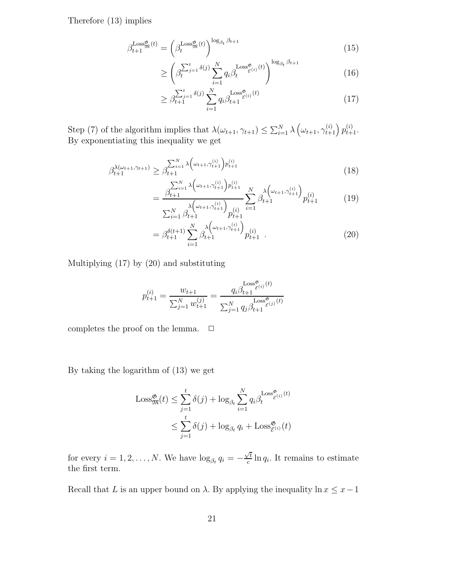Therefore (13) implies

$$
\beta_{t+1}^{\text{Loss}_{\mathfrak{M}}^{\mathfrak{G}}(t)} = \left(\beta_t^{\text{Loss}_{\mathfrak{M}}^{\mathfrak{G}}(t)}\right)^{\log_{\beta_t} \beta_{t+1}} \tag{15}
$$

$$
\geq \left(\beta_t^{\sum_{j=1}^t \delta(j)} \sum_{i=1}^N q_i \beta_t^{\text{Loss}^{\mathfrak{G}}_{\mathcal{E}^{(i)}}(t)}\right)^{\log_{\beta_t} \beta_{t+1}}\tag{16}
$$

$$
\geq \beta_{t+1}^{\sum_{j=1}^{t} \delta(j)} \sum_{i=1}^{N} q_i \beta_{t+1}^{\text{Loss}_{\mathcal{E}^{(i)}}^{\mathfrak{G}}(t)} \tag{17}
$$

Step (7) of the algorithm implies that  $\lambda(\omega_{t+1}, \gamma_{t+1}) \leq \sum_{i=1}^N \lambda \left(\omega_{t+1}, \gamma_{t+1}^{(i)}\right) p_{t+1}^{(i)}$ . By exponentiating this inequality we get

$$
\beta_{t+1}^{\lambda(\omega_{t+1}, \gamma_{t+1})} \ge \beta_{t+1}^{\sum_{i=1}^{N} \lambda \left(\omega_{t+1}, \gamma_{t+1}^{(i)}\right) p_{t+1}^{(i)}} \tag{18}
$$

$$
= \frac{\beta_{t+1}^{N} \lambda \left(\omega_{t+1}, \gamma_{t+1}^{(i)}\right) p_{t+1}^{(i)}}{\sum_{i=1}^{N} \beta_{t+1}^{(\omega_{t+1}, \gamma_{t+1}^{(i)})} p_{t+1}^{(i)}} \sum_{i=1}^{N} \beta_{t+1}^{\lambda \left(\omega_{t+1}, \gamma_{t+1}^{(i)}\right)} p_{t+1}^{(i)} \tag{19}
$$

$$
= \beta_{t+1}^{\delta(t+1)} \sum_{i=1}^{N} \beta_{t+1}^{\lambda(\omega_{t+1}, \gamma_{t+1}^{(i)})} p_{t+1}^{(i)} \quad . \tag{20}
$$

Multiplying (17) by (20) and substituting

$$
p_{t+1}^{(i)} = \frac{w_{t+1}}{\sum_{j=1}^{N} w_{t+1}^{(j)}} = \frac{q_i \beta_{t+1}^{\text{Loss}_{\mathcal{E}(i)}^{\mathfrak{G}}(t)}}{\sum_{j=1}^{N} q_j \beta_{t+1}^{\text{Loss}_{\mathcal{E}(j)}^{\mathfrak{G}}(t)}}
$$

completes the proof on the lemma.  $\Box$ 

By taking the logarithm of (13) we get

$$
\begin{aligned} \text{Loss}_{\mathfrak{M}}^{\mathfrak{G}}(t) &\leq \sum_{j=1}^{t} \delta(j) + \log_{\beta_{t}} \sum_{i=1}^{N} q_{i} \beta_{t}^{\text{Loss}_{\mathcal{E}(i)}^{\mathfrak{G}}(t)} \\ &\leq \sum_{j=1}^{t} \delta(j) + \log_{\beta_{t}} q_{i} + \text{Loss}_{\mathcal{E}(i)}^{\mathfrak{G}}(t) \end{aligned}
$$

for every  $i = 1, 2, ..., N$ . We have  $\log_{\beta_t} q_i = -\frac{\sqrt{t}}{c}$  $\frac{\partial}{\partial c} \ln q_i$ . It remains to estimate the first term.

Recall that L is an upper bound on  $\lambda$ . By applying the inequality  $\ln x \leq x-1$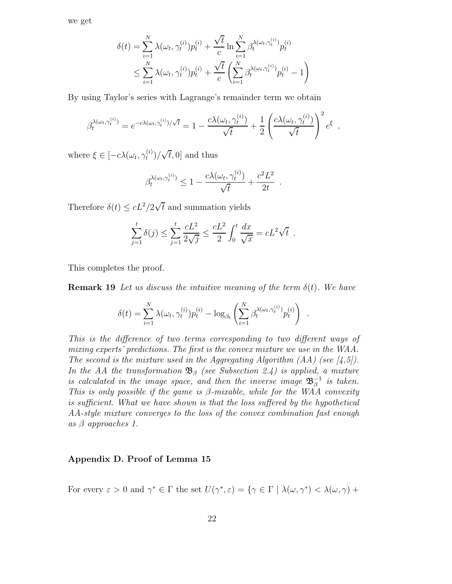we get

$$
\delta(t) = \sum_{i=1}^{N} \lambda(\omega_t, \gamma_t^{(i)}) p_t^{(i)} + \frac{\sqrt{t}}{c} \ln \sum_{i=1}^{N} \beta_t^{\lambda(\omega_t, \gamma_t^{(i)})} p_t^{(i)}
$$
  

$$
\leq \sum_{i=1}^{N} \lambda(\omega_t, \gamma_t^{(i)}) p_t^{(i)} + \frac{\sqrt{t}}{c} \left( \sum_{i=1}^{N} \beta_t^{\lambda(\omega_t, \gamma_t^{(i)})} p_t^{(i)} - 1 \right)
$$

By using Taylor's series with Lagrange's remainder term we obtain

$$
\beta_t^{\lambda(\omega_t,\gamma_t^{(i)})} = e^{-c\lambda(\omega_t,\gamma_t^{(i)})/\sqrt{t}} = 1 - \frac{c\lambda(\omega_t,\gamma_t^{(i)})}{\sqrt{t}} + \frac{1}{2} \left(\frac{c\lambda(\omega_t,\gamma_t^{(i)})}{\sqrt{t}}\right)^2 e^{\xi},
$$

where  $\xi \in [-c\lambda(\omega_t, \gamma_t^{(i)})]$  $t^{(i)}_t$   $\sqrt{t}$ , 0] and thus

$$
\beta_t^{\lambda(\omega_t,\gamma_t^{(i)})} \le 1 - \frac{c\lambda(\omega_t,\gamma_t^{(i)})}{\sqrt{t}} + \frac{c^2L^2}{2t}.
$$

Therefore  $\delta(t) \leq cL^2/2\sqrt{t}$  and summation yields

$$
\sum_{j=1}^{t} \delta(j) \le \sum_{j=1}^{t} \frac{cL^2}{2\sqrt{j}} \le \frac{cL^2}{2} \int_0^t \frac{dx}{\sqrt{x}} = cL^2 \sqrt{t} .
$$

This completes the proof.

**Remark 19** Let us discuss the intuitive meaning of the term  $\delta(t)$ . We have

$$
\delta(t) = \sum_{i=1}^{N} \lambda(\omega_t, \gamma_t^{(i)}) p_t^{(i)} - \log_{\beta_t} \left( \sum_{i=1}^{N} \beta_t^{\lambda(\omega_t, \gamma_t^{(i)})} p_t^{(i)} \right)
$$

.

This is the difference of two terms corresponding to two different ways of mixing experts' predictions. The first is the convex mixture we use in the WAA. The second is the mixture used in the Aggregating Algorithm  $(AA)$  (see [4,5]). In the AA the transformation  $\mathfrak{B}_{\beta}$  (see Subsection 2.4) is applied, a mixture is calculated in the image space, and then the inverse image  $\mathfrak{B}_{\beta}^{-1}$  is taken. This is only possible if the game is  $\beta$ -mixable, while for the WAA convexity is sufficient. What we have shown is that the loss suffered by the hypothetical AA-style mixture converges to the loss of the convex combination fast enough as  $\beta$  approaches 1.

# Appendix D. Proof of Lemma 15

For every  $\varepsilon > 0$  and  $\gamma^* \in \Gamma$  the set  $U(\gamma^*, \varepsilon) = {\gamma \in \Gamma \mid \lambda(\omega, \gamma^*) < \lambda(\omega, \gamma) + \gamma^*}$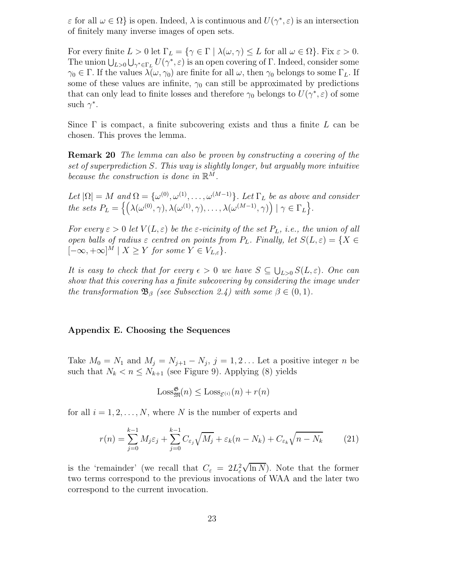$\varepsilon$  for all  $\omega \in \Omega$  is open. Indeed,  $\lambda$  is continuous and  $U(\gamma^*, \varepsilon)$  is an intersection of finitely many inverse images of open sets.

For every finite  $L > 0$  let  $\Gamma_L = \{ \gamma \in \Gamma \mid \lambda(\omega, \gamma) \leq L \text{ for all } \omega \in \Omega \}.$  Fix  $\varepsilon > 0$ . The union  $\bigcup_{L>0}\bigcup_{\gamma^*\in\Gamma_L}U(\gamma^*,\varepsilon)$  is an open covering of  $\Gamma$ . Indeed, consider some  $\gamma_0 \in \Gamma$ . If the values  $\lambda(\omega, \gamma_0)$  are finite for all  $\omega$ , then  $\gamma_0$  belongs to some  $\Gamma_L$ . If some of these values are infinite,  $\gamma_0$  can still be approximated by predictions that can only lead to finite losses and therefore  $\gamma_0$  belongs to  $U(\gamma^*, \varepsilon)$  of some such  $\gamma^*$ .

Since  $\Gamma$  is compact, a finite subcovering exists and thus a finite L can be chosen. This proves the lemma.

Remark 20 The lemma can also be proven by constructing a covering of the set of superprediction S. This way is slightly longer, but arguably more intuitive because the construction is done in  $\mathbb{R}^M$ .

Let  $|\Omega| = M$  and  $\Omega = {\omega^{(0)}, \omega^{(1)}, \dots, \omega^{(M-1)}}$ . Let  $\Gamma_L$  be as above and consider the sets  $P_L = \left\{ \left( \lambda(\omega^{(0)}, \gamma), \lambda(\omega^{(1)}, \gamma), \ldots, \lambda(\omega^{(M-1)}, \gamma) \right) \mid \gamma \in \Gamma_L \right\}.$ 

For every  $\varepsilon > 0$  let  $V(L, \varepsilon)$  be the  $\varepsilon$ -vicinity of the set  $P_L$ , i.e., the union of all open balls of radius  $\varepsilon$  centred on points from  $P_L$ . Finally, let  $S(L, \varepsilon) = \{X \in$  $[-\infty, +\infty]^M \mid X \geq Y$  for some  $Y \in V_{L,\varepsilon}$ .

It is easy to check that for every  $\epsilon > 0$  we have  $S \subseteq \bigcup_{L>0} S(L, \varepsilon)$ . One can show that this covering has a finite subcovering by considering the image under the transformation  $\mathfrak{B}_{\beta}$  (see Subsection 2.4) with some  $\beta \in (0,1)$ .

#### Appendix E. Choosing the Sequences

Take  $M_0 = N_1$  and  $M_j = N_{j+1} - N_j$ ,  $j = 1, 2...$  Let a positive integer n be such that  $N_k < n \leq N_{k+1}$  (see Figure 9). Applying (8) yields

$$
\text{Loss}^{\mathfrak{G}}_{\mathfrak{M}}(n) \leq \text{Loss}_{\mathcal{E}^{(i)}}(n) + r(n)
$$

for all  $i = 1, 2, ..., N$ , where N is the number of experts and

$$
r(n) = \sum_{j=0}^{k-1} M_j \varepsilon_j + \sum_{j=0}^{k-1} C_{\varepsilon_j} \sqrt{M_j} + \varepsilon_k (n - N_k) + C_{\varepsilon_k} \sqrt{n - N_k} \tag{21}
$$

is the 'remainder' (we recall that  $C_{\varepsilon} = 2L_{\varepsilon}^2$  $\sqrt{\ln N}$ ). Note that the former two terms correspond to the previous invocations of WAA and the later two correspond to the current invocation.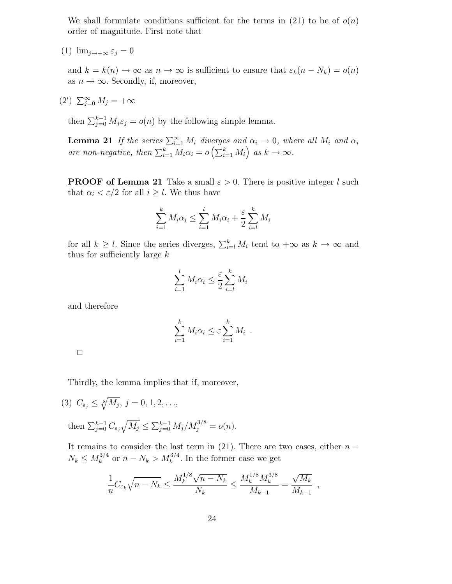We shall formulate conditions sufficient for the terms in  $(21)$  to be of  $o(n)$ order of magnitude. First note that

(1)  $\lim_{j\to+\infty} \varepsilon_j = 0$ 

and  $k = k(n) \to \infty$  as  $n \to \infty$  is sufficient to ensure that  $\varepsilon_k(n - N_k) = o(n)$ as  $n \to \infty$ . Secondly, if, moreover,

 $(2')$   $\sum_{j=0}^{\infty} M_j = +\infty$ 

then  $\sum_{j=0}^{k-1} M_j \varepsilon_j = o(n)$  by the following simple lemma.

**Lemma 21** If the series  $\sum_{i=1}^{\infty} M_i$  diverges and  $\alpha_i \to 0$ , where all  $M_i$  and  $\alpha_i$ are non-negative, then  $\sum_{i=1}^{k} M_i \alpha_i = o\left(\sum_{i=1}^{k} M_i\right)$  as  $k \to \infty$ .

**PROOF of Lemma 21** Take a small  $\varepsilon > 0$ . There is positive integer l such that  $\alpha_i < \varepsilon/2$  for all  $i \geq l$ . We thus have

$$
\sum_{i=1}^{k} M_i \alpha_i \le \sum_{i=1}^{l} M_i \alpha_i + \frac{\varepsilon}{2} \sum_{i=l}^{k} M_i
$$

for all  $k \geq l$ . Since the series diverges,  $\sum_{i=l}^{k} M_i$  tend to  $+\infty$  as  $k \to \infty$  and thus for sufficiently large  $k$ 

$$
\sum_{i=1}^{l} M_i \alpha_i \le \frac{\varepsilon}{2} \sum_{i=l}^{k} M_i
$$

and therefore

$$
\sum_{i=1}^k M_i \alpha_i \leq \varepsilon \sum_{i=1}^k M_i.
$$

Thirdly, the lemma implies that if, moreover,

(3) 
$$
C_{\varepsilon_j} \le \sqrt[8]{M_j}
$$
,  $j = 0, 1, 2, ...$ ,  
then  $\sum_{j=0}^{k-1} C_{\varepsilon_j} \sqrt{M_j} \le \sum_{j=0}^{k-1} M_j / M_j^{3/8} = o(n)$ .

It remains to consider the last term in (21). There are two cases, either  $n N_k \le M_k^{3/4}$  $k_k^{3/4}$  or  $n - N_k > M_k^{3/4}$ . In the former case we get

$$
\frac{1}{n} C_{\varepsilon_k} \sqrt{n-N_k} \leq \frac{M_k^{1/8} \sqrt{n-N_k}}{N_k} \leq \frac{M_k^{1/8} M_k^{3/8}}{M_{k-1}} = \frac{\sqrt{M_k}}{M_{k-1}}
$$

,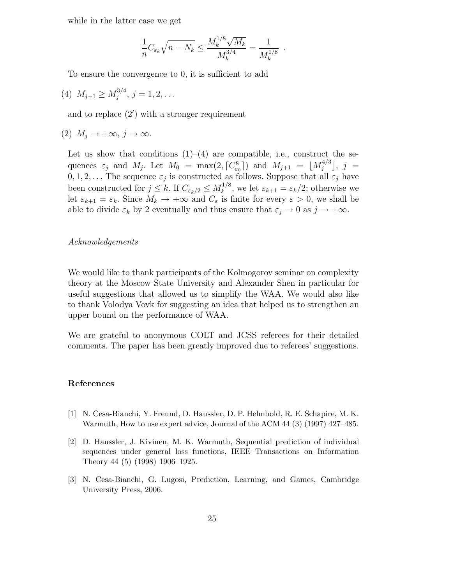while in the latter case we get

$$
\frac{1}{n} C_{\varepsilon_k} \sqrt{n-N_k} \le \frac{M_k^{1/8} \sqrt{M_k}}{M_k^{3/4}} = \frac{1}{M_k^{1/8}}.
$$

To ensure the convergence to 0, it is sufficient to add

(4)  $M_{j-1} \ge M_j^{3/4}$  $j^{3/4}, j = 1, 2, \ldots$ 

and to replace  $(2')$  with a stronger requirement

(2)  $M_i \rightarrow +\infty, j \rightarrow \infty$ .

Let us show that conditions  $(1)$ – $(4)$  are compatible, i.e., construct the sequences  $\varepsilon_j$  and  $M_j$ . Let  $M_0 = \max(2, \lceil C_{\varepsilon_0}^8 \rceil)$  and  $M_{j+1} = \lfloor M_j^{4/3} \rfloor$  $\int_j^{4/5}$ ,  $j =$  $0, 1, 2, \ldots$  The sequence  $\varepsilon_j$  is constructed as follows. Suppose that all  $\varepsilon_j$  have been constructed for  $j \leq k$ . If  $C_{\varepsilon_k/2} \leq M_k^{1/8}$  $_k^{1/8}$ , we let  $\varepsilon_{k+1} = \varepsilon_k/2$ ; otherwise we let  $\varepsilon_{k+1} = \varepsilon_k$ . Since  $M_k \to +\infty$  and  $C_{\varepsilon}$  is finite for every  $\varepsilon > 0$ , we shall be able to divide  $\varepsilon_k$  by 2 eventually and thus ensure that  $\varepsilon_j \to 0$  as  $j \to +\infty$ .

#### Acknowledgements

We would like to thank participants of the Kolmogorov seminar on complexity theory at the Moscow State University and Alexander Shen in particular for useful suggestions that allowed us to simplify the WAA. We would also like to thank Volodya Vovk for suggesting an idea that helped us to strengthen an upper bound on the performance of WAA.

We are grateful to anonymous COLT and JCSS referees for their detailed comments. The paper has been greatly improved due to referees' suggestions.

## References

- [1] N. Cesa-Bianchi, Y. Freund, D. Haussler, D. P. Helmbold, R. E. Schapire, M. K. Warmuth, How to use expert advice, Journal of the ACM 44 (3) (1997) 427–485.
- [2] D. Haussler, J. Kivinen, M. K. Warmuth, Sequential prediction of individual sequences under general loss functions, IEEE Transactions on Information Theory 44 (5) (1998) 1906–1925.
- [3] N. Cesa-Bianchi, G. Lugosi, Prediction, Learning, and Games, Cambridge University Press, 2006.